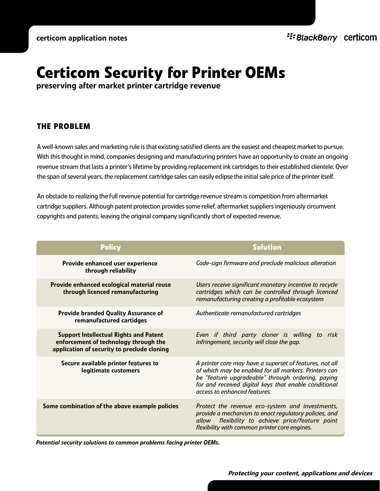# **Certicom Security for Printer OEMs**

preserving after market printer cartridge revenue

# **THE PROBLEM**

A well-known sales and marketing rule is that existing satisfied clients are the easiest and cheapest market to pursue. With this thought in mind, companies designing and manufacturing printers have an opportunity to create an ongoing revenue stream that lasts a printer's lifetime by providing replacement ink cartridges to their established clientele. Over the span of several years, the replacement cartridge sales can easily eclipse the initial sale price of the printer itself.

An obstacle to realizing the full revenue potential for cartridge revenue stream is competition from aftermarket cartridge suppliers. Although patent protection provides some relief, aftermarket suppliers ingeniously circumvent copyrights and patents, leaving the original company significantly short of expected revenue.

| <b>Policy</b>                                                                                                                         | <b>Solution</b>                                                                                                                                                                                                                                                |
|---------------------------------------------------------------------------------------------------------------------------------------|----------------------------------------------------------------------------------------------------------------------------------------------------------------------------------------------------------------------------------------------------------------|
| Provide enhanced user experience<br>through reliability                                                                               | Code-sign firmware and preclude malicious alteration                                                                                                                                                                                                           |
| Provide enhanced ecological material reuse<br>through licenced remanufacturing                                                        | Users receive significant monetary incentive to recycle<br>cartridges which can be controlled through licenced<br>remanufacturing creating a profitable ecosystem                                                                                              |
| Provide branded Quality Assurance of<br>remanufactured cartidges                                                                      | Authenticate remanufactured cartridges                                                                                                                                                                                                                         |
| <b>Support Intellectual Rights and Patent</b><br>enforcement of technology through the<br>application of security to preclude cloning | Even if third party cloner is willing to risk<br>infringement, security will close the gap.                                                                                                                                                                    |
| Secure available printer features to<br>legitimate customers                                                                          | A printer core may have a superset of features, not all<br>of which may be enabled for all markets. Printers can<br>be "feature upgradeable" through ordering, paying<br>for and received digital keys that enable conditional<br>access to enhanced features. |
| Some combination of the above example policies                                                                                        | Protect the revenue eco-system and investments,<br>provide a mechanism to enact regulatory policies, and<br>allow flexibility to achieve price/feature point<br>flexibility with common printer core engines.                                                  |

*Potential security solutions to common problems facing printer OEMs.*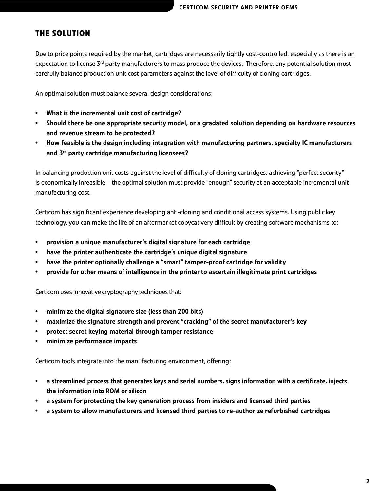## **THE SOLUTION**

Due to price points required by the market, cartridges are necessarily tightly cost-controlled, especially as there is an expectation to license 3<sup>rd</sup> party manufacturers to mass produce the devices. Therefore, any potential solution must carefully balance production unit cost parameters against the level of difficulty of cloning cartridges.

An optimal solution must balance several design considerations:

- What is the incremental unit cost of cartridge?
- Should there be one appropriate security model, or a gradated solution depending on hardware resources and revenue stream to be protected?
- How feasible is the design including integration with manufacturing partners, specialty IC manufacturers and 3<sup>rd</sup> party cartridge manufacturing licensees?

In balancing production unit costs against the level of difficulty of cloning cartridges, achieving "perfect security" is economically infeasible – the optimal solution must provide "enough" security at an acceptable incremental unit manufacturing cost.

Certicom has significant experience developing anti-cloning and conditional access systems. Using public key technology, you can make the life of an aftermarket copycat very difficult by creating software mechanisms to:

- provision a unique manufacturer's digital signature for each cartridge
- have the printer authenticate the cartridge's unique digital signature
- have the printer optionally challenge a "smart" tamper-proof cartridge for validity
- provide for other means of intelligence in the printer to ascertain illegitimate print cartridges

Certicom uses innovative cryptography techniques that:

- minimize the digital signature size (less than 200 bits)
- maximize the signature strength and prevent "cracking" of the secret manufacturer's key
- protect secret keying material through tamper resistance
- minimize performance impacts

Certicom tools integrate into the manufacturing environment, offering:

- a streamlined process that generates keys and serial numbers, signs information with a certificate, injects the information into ROM or silicon
- a system for protecting the key generation process from insiders and licensed third parties
- a system to allow manufacturers and licensed third parties to re-authorize refurbished cartridges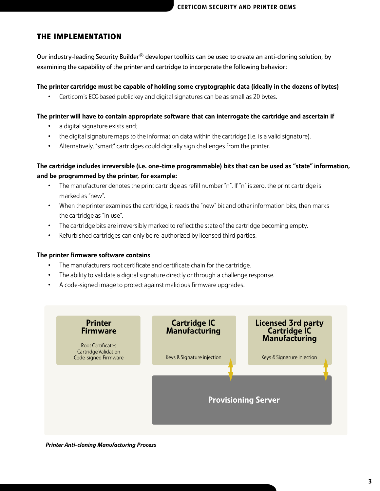## **THE IMPLEMENTATION**

Our industry-leading Security Builder<sup>®</sup> developer toolkits can be used to create an anti-cloning solution, by examining the capability of the printer and cartridge to incorporate the following behavior:

The printer cartridge must be capable of holding some cryptographic data (ideally in the dozens of bytes)

• Certicom's ECC-based public key and digital signatures can be as small as 20 bytes.

#### The printer will have to contain appropriate software that can interrogate the cartridge and ascertain if

- a digital signature exists and;
- the digital signature maps to the information data within the cartridge (i.e. is a valid signature).
- Alternatively, "smart" cartridges could digitally sign challenges from the printer.

## The cartridge includes irreversible (i.e. one-time programmable) bits that can be used as "state" information, and be programmed by the printer, for example:

- The manufacturer denotes the print cartridge as refill number "n". If "n" is zero, the print cartridge is marked as "new".
- When the printer examines the cartridge, it reads the "new" bit and other information bits, then marks the cartridge as "in use".
- The cartridge bits are irreversibly marked to reflect the state of the cartridge becoming empty.
- Refurbished cartridges can only be re-authorized by licensed third parties.

#### The printer firmware software contains

- The manufacturers root certificate and certificate chain for the cartridge.
- The ability to validate a digital signature directly or through a challenge response.
- A code-signed image to protect against malicious firmware upgrades.



*Printer Anti-cloning Manufacturing Process*